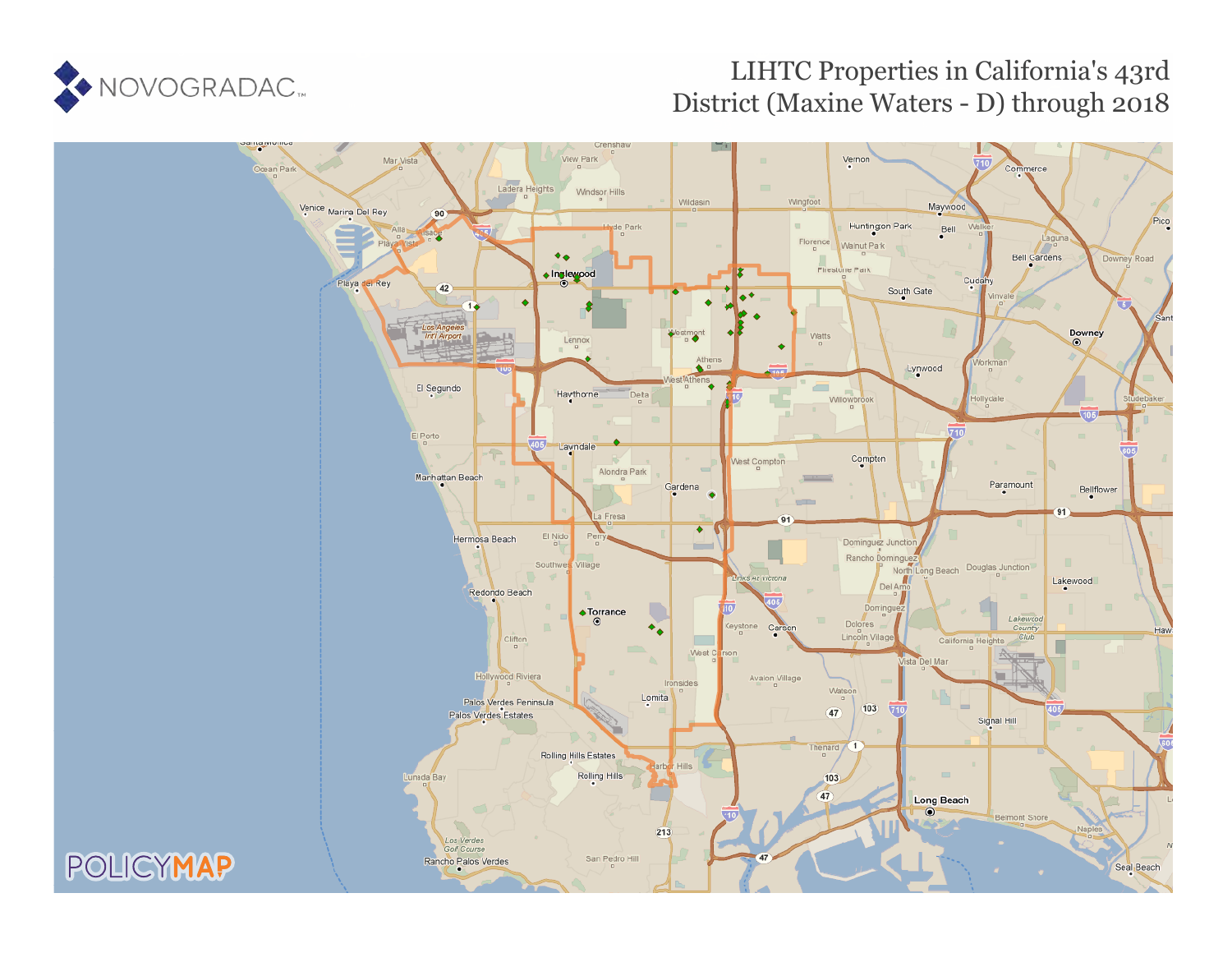

# LIHTC Properties in California's 43rd District (Maxine Waters - D) through 2018

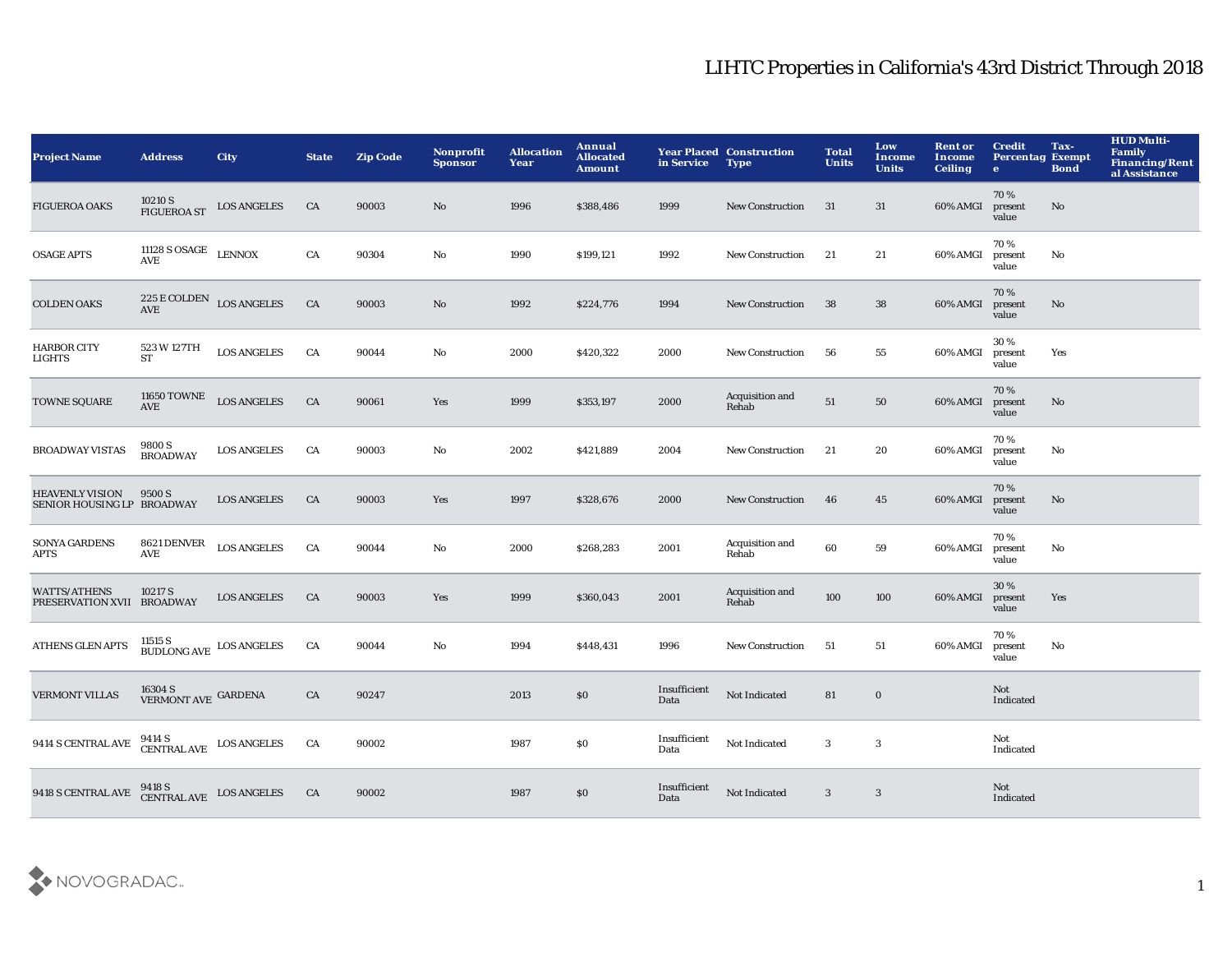| <b>Project Name</b>                                  | <b>Address</b>                                                                                 | <b>City</b>                                               | <b>State</b> | <b>Zip Code</b> | Nonprofit<br><b>Sponsor</b> | <b>Allocation</b><br>Year | Annual<br><b>Allocated</b><br><b>Amount</b> | in Service           | <b>Year Placed Construction</b><br><b>Type</b> | <b>Total</b><br><b>Units</b> | Low<br><b>Income</b><br><b>Units</b> | <b>Rent or</b><br><b>Income</b><br><b>Ceiling</b> | <b>Credit</b><br><b>Percentag Exempt</b><br>$\bullet$ | Tax-<br><b>Bond</b> | <b>HUD Multi-</b><br>Family<br>Financing/Rent<br>al Assistance |
|------------------------------------------------------|------------------------------------------------------------------------------------------------|-----------------------------------------------------------|--------------|-----------------|-----------------------------|---------------------------|---------------------------------------------|----------------------|------------------------------------------------|------------------------------|--------------------------------------|---------------------------------------------------|-------------------------------------------------------|---------------------|----------------------------------------------------------------|
| <b>FIGUEROA OAKS</b>                                 | 10210 S<br>FIGUEROA ST                                                                         | <b>LOS ANGELES</b>                                        | CA           | 90003           | No                          | 1996                      | \$388,486                                   | 1999                 | <b>New Construction</b>                        | 31                           | 31                                   | 60% AMGI                                          | 70%<br>present<br>value                               | No                  |                                                                |
| <b>OSAGE APTS</b>                                    | $11128$ S OSAGE LENNOX AVE                                                                     |                                                           | CA           | 90304           | $\mathbf {No}$              | 1990                      | \$199,121                                   | 1992                 | <b>New Construction</b>                        | 21                           | 21                                   | 60% AMGI                                          | 70%<br>present<br>value                               | No                  |                                                                |
| <b>COLDEN OAKS</b>                                   |                                                                                                | $225\,\mathrm{E}\,\mathrm{COLDEN}$ $\,\,$ LOS ANGELES AVE | ${\rm CA}$   | 90003           | $\mathbf{N}\mathbf{o}$      | 1992                      | \$224,776                                   | 1994                 | <b>New Construction</b>                        | 38                           | 38                                   | 60% AMGI                                          | 70%<br>present<br>value                               | No                  |                                                                |
| <b>HARBOR CITY</b><br>LIGHTS                         | 523 W 127TH<br><b>ST</b>                                                                       | <b>LOS ANGELES</b>                                        | CA           | 90044           | No                          | 2000                      | \$420,322                                   | 2000                 | New Construction                               | 56                           | 55                                   | 60% AMGI                                          | 30%<br>present<br>value                               | Yes                 |                                                                |
| TOWNE SQUARE                                         | 11650 TOWNE<br>AVE                                                                             | <b>LOS ANGELES</b>                                        | CA           | 90061           | Yes                         | 1999                      | \$353,197                                   | 2000                 | Acquisition and<br>Rehab                       | ${\bf 51}$                   | 50                                   | 60% AMGI                                          | 70%<br>present<br>value                               | No                  |                                                                |
| <b>BROADWAY VISTAS</b>                               | 9800 S<br><b>BROADWAY</b>                                                                      | <b>LOS ANGELES</b>                                        | CA           | 90003           | No                          | 2002                      | \$421,889                                   | 2004                 | <b>New Construction</b>                        | 21                           | 20                                   | 60% AMGI                                          | 70%<br>present<br>value                               | No                  |                                                                |
| <b>HEAVENLY VISION</b><br>SENIOR HOUSING LP BROADWAY | 9500 S                                                                                         | <b>LOS ANGELES</b>                                        | CA           | 90003           | Yes                         | 1997                      | \$328,676                                   | 2000                 | <b>New Construction</b>                        | 46                           | 45                                   | 60% AMGI                                          | 70%<br>present<br>value                               | No.                 |                                                                |
| <b>SONYA GARDENS</b><br><b>APTS</b>                  | 8621 DENVER<br>$\operatorname{\mathbf{AVE}}$                                                   | <b>LOS ANGELES</b>                                        | CA           | 90044           | $\mathbf {No}$              | 2000                      | \$268,283                                   | 2001                 | Acquisition and<br>Rehab                       | 60                           | 59                                   | 60% AMGI                                          | 70%<br>present<br>value                               | No                  |                                                                |
| <b>WATTS/ATHENS</b><br>PRESERVATION XVII BROADWAY    | 10217 S                                                                                        | <b>LOS ANGELES</b>                                        | CA           | 90003           | Yes                         | 1999                      | \$360,043                                   | 2001                 | Acquisition and<br>Rehab                       | 100                          | 100                                  | 60% AMGI                                          | 30%<br>present<br>value                               | Yes                 |                                                                |
| <b>ATHENS GLEN APTS</b>                              | $11515$ S $$\tt BUDLONG\,AVE$$ $\tt LOS\, ANGELES$$                                            |                                                           | CA           | 90044           | No                          | 1994                      | \$448,431                                   | 1996                 | <b>New Construction</b>                        | 51                           | 51                                   | 60% AMGI                                          | 70%<br>present<br>value                               | No                  |                                                                |
| <b>VERMONT VILLAS</b>                                | $16304$ S $$\tt VERMONT\ AVE$$ GARDENA                                                         |                                                           | CA           | 90247           |                             | 2013                      | \$0                                         | Insufficient<br>Data | Not Indicated                                  | 81                           | $\mathbf 0$                          |                                                   | Not<br>Indicated                                      |                     |                                                                |
| 9414 S CENTRAL AVE                                   | $\begin{tabular}{ll} 9414 \; S \\ \; \text{CENTRAL AVE} & \; \text{LOS ANGELES} \end{tabular}$ |                                                           | CA           | 90002           |                             | 1987                      | \$0                                         | Insufficient<br>Data | Not Indicated                                  | 3                            | $\bf{3}$                             |                                                   | Not<br>Indicated                                      |                     |                                                                |
| 9418 S CENTRAL AVE                                   |                                                                                                | 9418 S<br>CENTRAL AVE LOS ANGELES                         | CA           | 90002           |                             | 1987                      | \$0                                         | Insufficient<br>Data | Not Indicated                                  | 3                            | 3                                    |                                                   | Not<br>Indicated                                      |                     |                                                                |

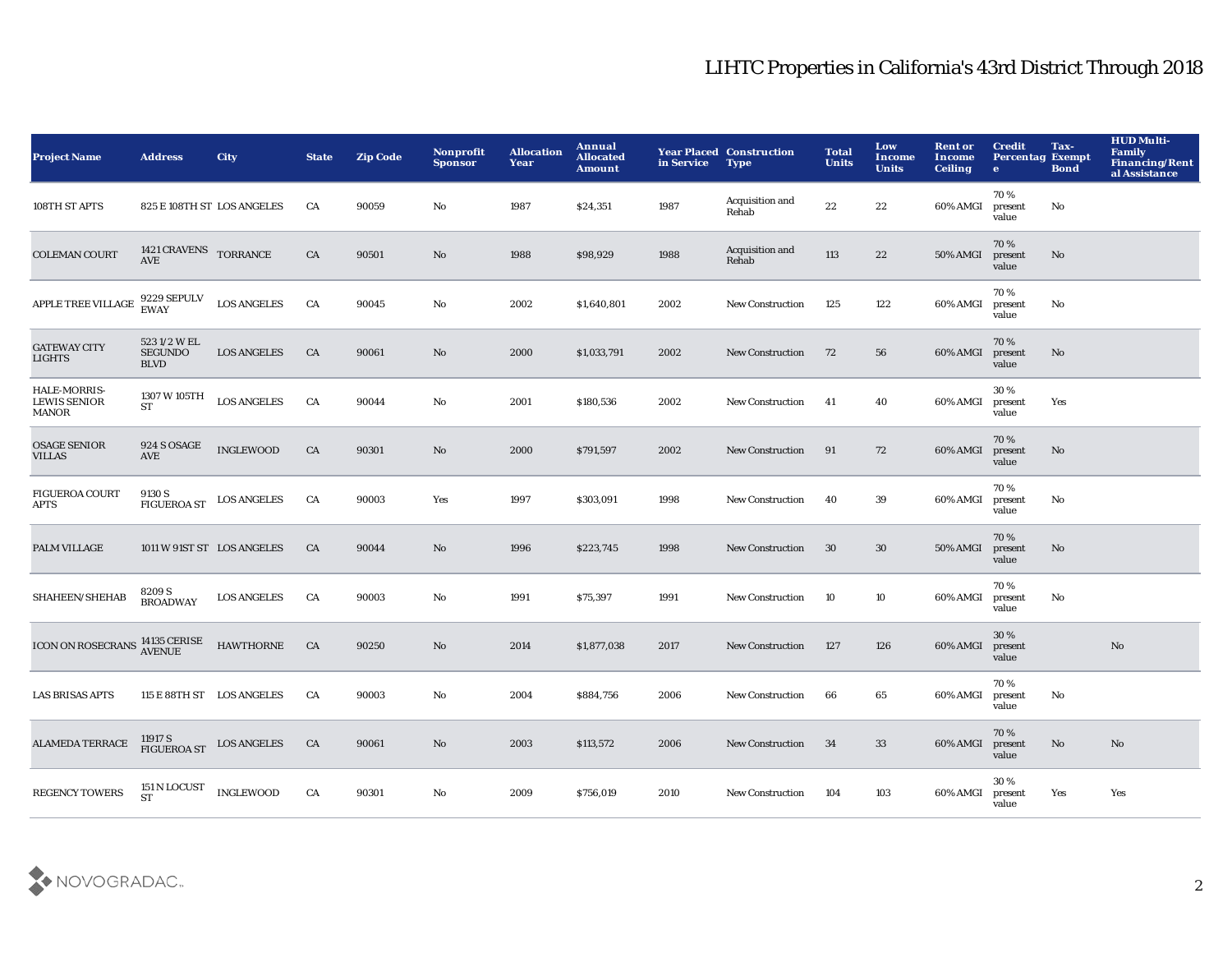| <b>Project Name</b>                                 | <b>Address</b>                               | <b>City</b>                        | <b>State</b> | <b>Zip Code</b> | <b>Nonprofit</b><br><b>Sponsor</b> | <b>Allocation</b><br>Year | Annual<br><b>Allocated</b><br>Amount | in Service | <b>Year Placed Construction</b><br><b>Type</b> | <b>Total</b><br><b>Units</b> | Low<br>Income<br><b>Units</b> | <b>Rent or</b><br><b>Income</b><br><b>Ceiling</b> | <b>Credit</b><br><b>Percentag Exempt</b><br>$\bullet$ | Tax-<br><b>Bond</b> | <b>HUD Multi-</b><br>Family<br><b>Financing/Rent</b><br>al Assistance |
|-----------------------------------------------------|----------------------------------------------|------------------------------------|--------------|-----------------|------------------------------------|---------------------------|--------------------------------------|------------|------------------------------------------------|------------------------------|-------------------------------|---------------------------------------------------|-------------------------------------------------------|---------------------|-----------------------------------------------------------------------|
| 108TH ST APTS                                       | 825 E 108TH ST LOS ANGELES                   |                                    | CA           | 90059           | No                                 | 1987                      | \$24,351                             | 1987       | Acquisition and<br>Rehab                       | $\bf{22}$                    | $\bf{22}$                     | 60% AMGI                                          | 70%<br>present<br>value                               | No                  |                                                                       |
| <b>COLEMAN COURT</b>                                | 1421 CRAVENS TORRANCE<br><b>AVE</b>          |                                    | CA           | 90501           | No                                 | 1988                      | \$98,929                             | 1988       | Acquisition and<br>Rehab                       | 113                          | 22                            | 50% AMGI                                          | 70%<br>present<br>value                               | No                  |                                                                       |
| APPLE TREE VILLAGE                                  | 9229 SEPULV<br>EWAY                          | <b>LOS ANGELES</b>                 | CA           | 90045           | $\mathbf{No}$                      | 2002                      | \$1,640,801                          | 2002       | <b>New Construction</b>                        | 125                          | 122                           | 60% AMGI                                          | 70%<br>present<br>value                               | No                  |                                                                       |
| <b>GATEWAY CITY</b><br><b>LIGHTS</b>                | 5231/2 W EL<br><b>SEGUNDO</b><br><b>BLVD</b> | <b>LOS ANGELES</b>                 | CA           | 90061           | No                                 | 2000                      | \$1,033,791                          | 2002       | <b>New Construction</b>                        | 72                           | 56                            | 60% AMGI                                          | 70%<br>present<br>value                               | No                  |                                                                       |
| HALE-MORRIS-<br><b>LEWIS SENIOR</b><br><b>MANOR</b> | 1307 W 105TH<br>ST                           | <b>LOS ANGELES</b>                 | CA           | 90044           | No                                 | 2001                      | \$180,536                            | 2002       | <b>New Construction</b>                        | 41                           | 40                            | 60% AMGI                                          | 30%<br>present<br>value                               | Yes                 |                                                                       |
| <b>OSAGE SENIOR</b><br><b>VILLAS</b>                | 924 S OSAGE<br>AVE                           | <b>INGLEWOOD</b>                   | CA           | 90301           | No                                 | 2000                      | \$791,597                            | 2002       | <b>New Construction</b>                        | 91                           | 72                            | 60% AMGI                                          | 70%<br>present<br>value                               | No                  |                                                                       |
| <b>FIGUEROA COURT</b><br>APTS                       | 9130 S<br><b>FIGUEROA ST</b>                 | <b>LOS ANGELES</b>                 | CA           | 90003           | Yes                                | 1997                      | \$303,091                            | 1998       | <b>New Construction</b>                        | 40                           | 39                            | 60% AMGI                                          | 70%<br>present<br>value                               | No                  |                                                                       |
| PALM VILLAGE                                        | 1011 W 91ST ST LOS ANGELES                   |                                    | CA           | 90044           | No                                 | 1996                      | \$223,745                            | 1998       | <b>New Construction</b>                        | 30                           | 30                            | <b>50% AMGI</b>                                   | 70%<br>present<br>value                               | No                  |                                                                       |
| SHAHEEN/SHEHAB                                      | 8209 S<br>BROADWAY                           | <b>LOS ANGELES</b>                 | CA           | 90003           | No                                 | 1991                      | \$75,397                             | 1991       | New Construction                               | 10                           | 10                            | 60% AMGI                                          | 70%<br>present<br>value                               | No                  |                                                                       |
| ICON ON ROSECRANS $^{14135}_{\rm AVENUE}$           |                                              | <b>HAWTHORNE</b>                   | CA           | 90250           | No                                 | 2014                      | \$1,877,038                          | 2017       | <b>New Construction</b>                        | 127                          | 126                           | 60% AMGI                                          | 30%<br>present<br>value                               |                     | $\rm\thinspace No$                                                    |
| <b>LAS BRISAS APTS</b>                              | 115 E 88TH ST LOS ANGELES                    |                                    | CA           | 90003           | No                                 | 2004                      | \$884,756                            | 2006       | <b>New Construction</b>                        | 66                           | 65                            | 60% AMGI                                          | 70%<br>present<br>value                               | No                  |                                                                       |
| <b>ALAMEDA TERRACE</b>                              |                                              | 11917 S<br>FIGUEROA ST LOS ANGELES | CA           | 90061           | No                                 | 2003                      | \$113,572                            | 2006       | <b>New Construction</b>                        | 34                           | 33                            | 60% AMGI                                          | 70%<br>present<br>value                               | No                  | $\mathbf{N}\mathbf{o}$                                                |
| <b>REGENCY TOWERS</b>                               | 151 N LOCUST<br><b>ST</b>                    | <b>INGLEWOOD</b>                   | CA           | 90301           | No                                 | 2009                      | \$756,019                            | 2010       | <b>New Construction</b>                        | 104                          | 103                           | 60% AMGI                                          | 30%<br>present<br>value                               | Yes                 | Yes                                                                   |

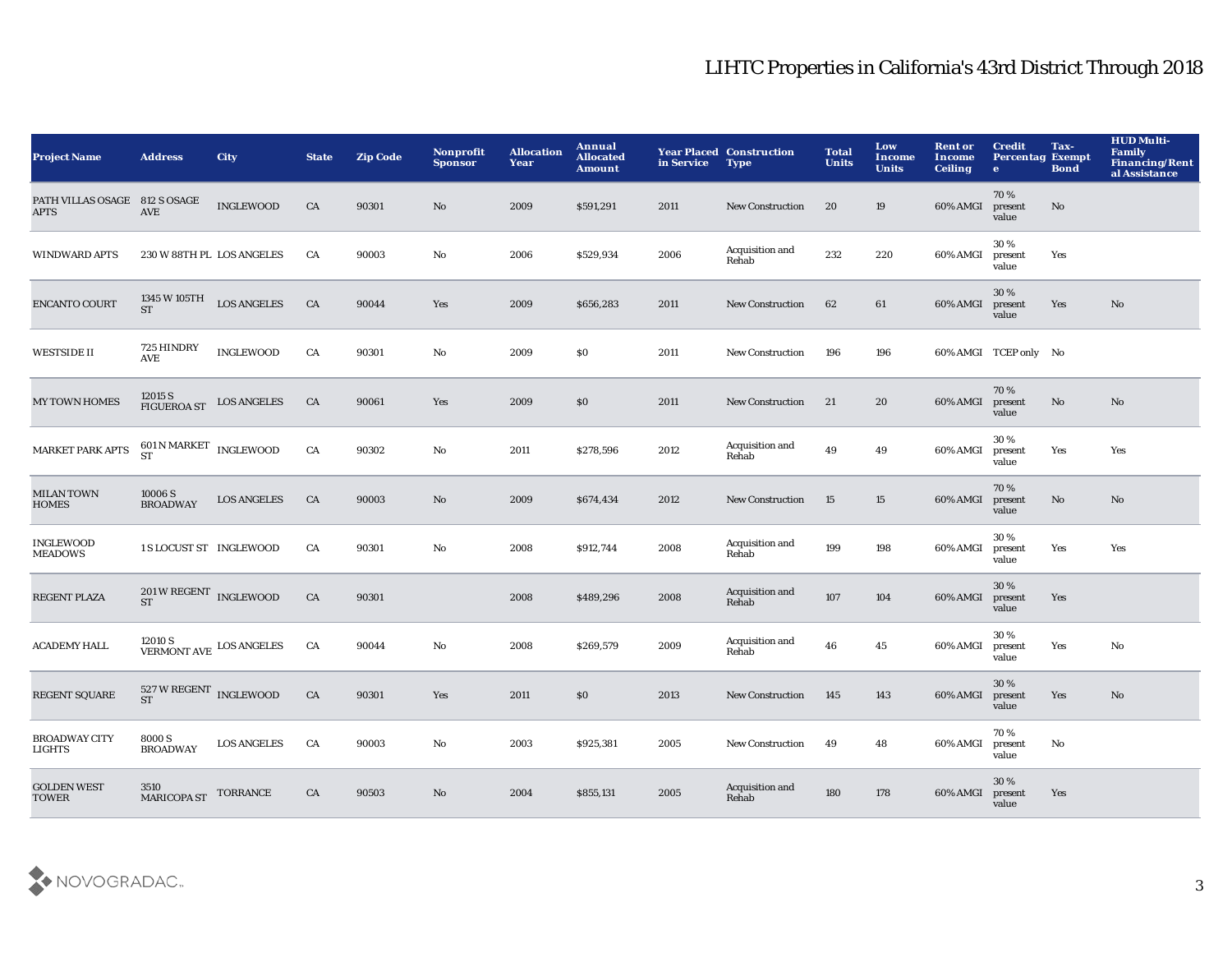| <b>Project Name</b>                          | <b>Address</b>                                            | <b>City</b>        | <b>State</b> | <b>Zip Code</b> | <b>Nonprofit</b><br><b>Sponsor</b> | <b>Allocation</b><br>Year | Annual<br><b>Allocated</b><br><b>Amount</b> | in Service | <b>Year Placed Construction</b><br><b>Type</b> | <b>Total</b><br><b>Units</b> | Low<br><b>Income</b><br><b>Units</b> | <b>Rent or</b><br>Income<br><b>Ceiling</b> | <b>Credit</b><br><b>Percentag Exempt</b><br>$\mathbf{e}$ | Tax-<br><b>Bond</b> | <b>HUD Multi-</b><br>Family<br><b>Financing/Rent</b><br>al Assistance |
|----------------------------------------------|-----------------------------------------------------------|--------------------|--------------|-----------------|------------------------------------|---------------------------|---------------------------------------------|------------|------------------------------------------------|------------------------------|--------------------------------------|--------------------------------------------|----------------------------------------------------------|---------------------|-----------------------------------------------------------------------|
| PATH VILLAS OSAGE 812 S OSAGE<br><b>APTS</b> | <b>AVE</b>                                                | <b>INGLEWOOD</b>   | ${\rm CA}$   | 90301           | $\mathbf{N}\mathbf{o}$             | 2009                      | \$591,291                                   | 2011       | New Construction                               | 20                           | 19                                   | 60% AMGI                                   | 70%<br>present<br>value                                  | No                  |                                                                       |
| <b>WINDWARD APTS</b>                         | 230 W 88TH PL LOS ANGELES                                 |                    | CA           | 90003           | No                                 | 2006                      | \$529,934                                   | 2006       | Acquisition and<br>Rehab                       | 232                          | 220                                  | 60% AMGI                                   | 30%<br>present<br>value                                  | Yes                 |                                                                       |
| <b>ENCANTO COURT</b>                         | 1345 W 105TH<br><b>ST</b>                                 | <b>LOS ANGELES</b> | CA           | 90044           | Yes                                | 2009                      | \$656,283                                   | 2011       | <b>New Construction</b>                        | 62                           | 61                                   | 60% AMGI                                   | 30%<br>present<br>value                                  | Yes                 | No                                                                    |
| <b>WESTSIDE II</b>                           | 725 HINDRY<br><b>AVE</b>                                  | <b>INGLEWOOD</b>   | CA           | 90301           | No                                 | 2009                      | \$0                                         | 2011       | <b>New Construction</b>                        | 196                          | 196                                  |                                            | 60% AMGI TCEP only No                                    |                     |                                                                       |
| <b>MY TOWN HOMES</b>                         | $12015$ S $$\,{\rm EOS\; ANGEEES}\,$                      |                    | CA           | 90061           | Yes                                | 2009                      | \$0                                         | 2011       | New Construction                               | 21                           | 20                                   | 60% AMGI                                   | 70%<br>present<br>value                                  | $\mathbf{No}$       | No                                                                    |
| MARKET PARK APTS                             | $601$ N MARKET $\,$ INGLEWOOD<br><b>ST</b>                |                    | CA           | 90302           | $\mathbf{No}$                      | 2011                      | \$278,596                                   | 2012       | Acquisition and<br>Rehab                       | 49                           | 49                                   | 60% AMGI                                   | 30%<br>present<br>value                                  | Yes                 | Yes                                                                   |
| <b>MILAN TOWN</b><br><b>HOMES</b>            | 10006 S<br><b>BROADWAY</b>                                | <b>LOS ANGELES</b> | CA           | 90003           | No                                 | 2009                      | \$674,434                                   | 2012       | New Construction                               | 15                           | 15                                   | 60% AMGI                                   | 70%<br>present<br>value                                  | $\mathbf{No}$       | No                                                                    |
| <b>INGLEWOOD</b><br><b>MEADOWS</b>           | 1 S LOCUST ST INGLEWOOD                                   |                    | CA           | 90301           | No                                 | 2008                      | \$912,744                                   | 2008       | Acquisition and<br>Rehab                       | 199                          | 198                                  | 60% AMGI                                   | 30%<br>present<br>value                                  | Yes                 | Yes                                                                   |
| <b>REGENT PLAZA</b>                          | $201\,\mathrm{W}\,\mathrm{REGENT}$ INGLEWOOD<br><b>ST</b> |                    | CA           | 90301           |                                    | 2008                      | \$489,296                                   | 2008       | Acquisition and<br>Rehab                       | 107                          | 104                                  | 60% AMGI                                   | 30%<br>present<br>value                                  | Yes                 |                                                                       |
| <b>ACADEMY HALL</b>                          | $12010$ S $$\,{\rm VERMONT\;AVE}\,$ LOS ANGELES           |                    | CA           | 90044           | $\mathbf{N}\mathbf{o}$             | 2008                      | \$269,579                                   | 2009       | Acquisition and<br>Rehab                       | 46                           | 45                                   | 60% AMGI                                   | 30%<br>present<br>value                                  | Yes                 | No                                                                    |
| <b>REGENT SQUARE</b>                         | 527 W REGENT INGLEWOOD<br><b>ST</b>                       |                    | CA           | 90301           | Yes                                | 2011                      | \$0                                         | 2013       | <b>New Construction</b>                        | 145                          | 143                                  | 60% AMGI                                   | 30%<br>present<br>value                                  | Yes                 | No                                                                    |
| <b>BROADWAY CITY</b><br>LIGHTS               | 8000 S<br><b>BROADWAY</b>                                 | <b>LOS ANGELES</b> | CA           | 90003           | No                                 | 2003                      | \$925,381                                   | 2005       | New Construction                               | 49                           | 48                                   | 60% AMGI                                   | 70%<br>present<br>value                                  | No                  |                                                                       |
| <b>GOLDEN WEST</b><br><b>TOWER</b>           | 3510<br>MARICOPA ST TORRANCE                              |                    | CA           | 90503           | No                                 | 2004                      | \$855,131                                   | 2005       | Acquisition and<br>Rehab                       | 180                          | 178                                  | 60% AMGI                                   | 30 %<br>present<br>value                                 | Yes                 |                                                                       |

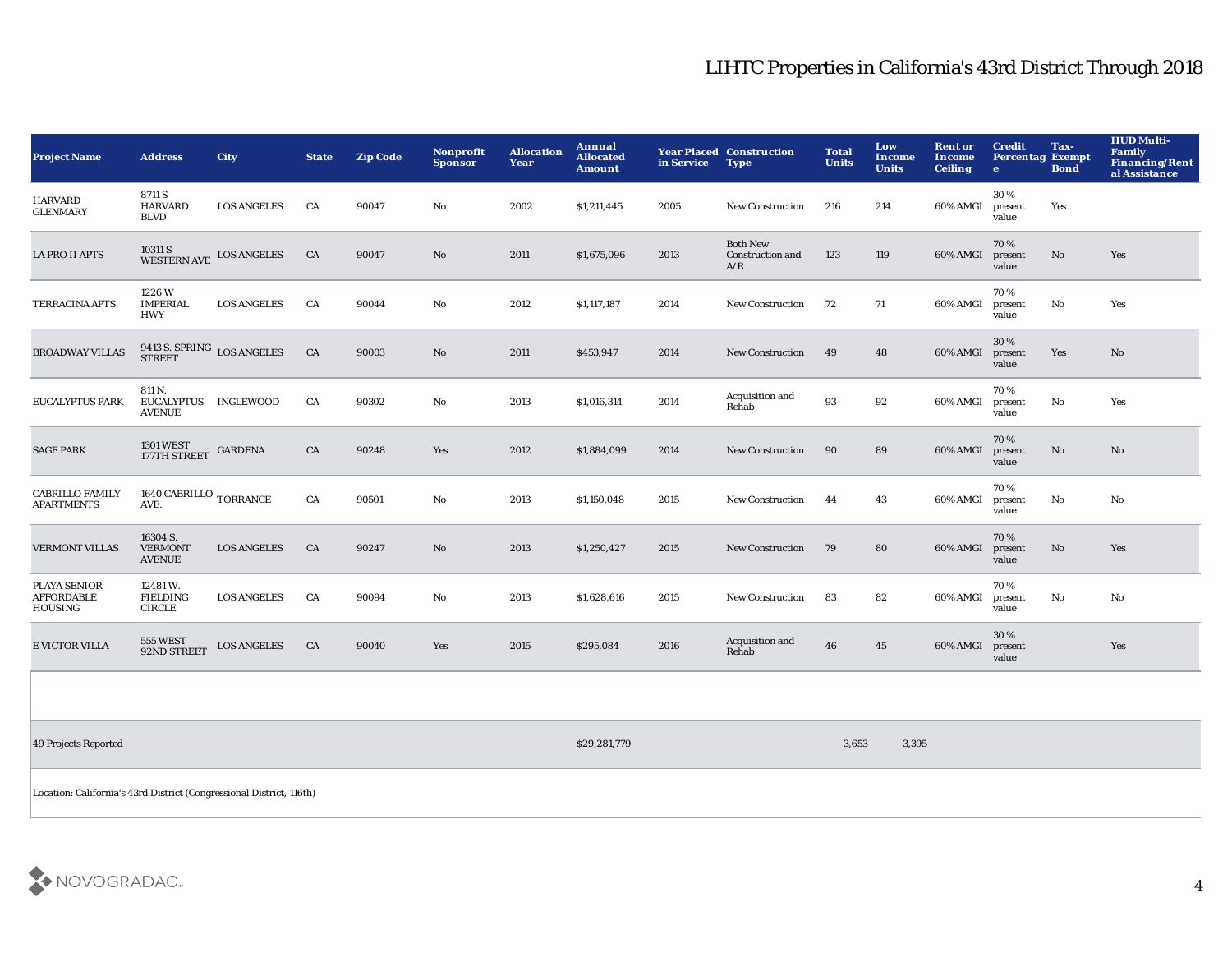| <b>Project Name</b>                                        | <b>Address</b>                              | <b>City</b>                                   | <b>State</b> | <b>Zip Code</b> | <b>Nonprofit</b><br><b>Sponsor</b> | <b>Allocation</b><br>Year | Annual<br><b>Allocated</b><br><b>Amount</b> | in Service | <b>Year Placed Construction</b><br><b>Type</b>    | <b>Total</b><br><b>Units</b> | Low<br>Income<br><b>Units</b> | <b>Rent or</b><br>Income<br><b>Ceiling</b> | <b>Credit</b><br><b>Percentag Exempt</b><br>$\bullet$ | Tax-<br><b>Bond</b> | <b>HUD Multi-</b><br>Family<br><b>Financing/Rent</b><br>al Assistance |
|------------------------------------------------------------|---------------------------------------------|-----------------------------------------------|--------------|-----------------|------------------------------------|---------------------------|---------------------------------------------|------------|---------------------------------------------------|------------------------------|-------------------------------|--------------------------------------------|-------------------------------------------------------|---------------------|-----------------------------------------------------------------------|
| <b>HARVARD</b><br><b>GLENMARY</b>                          | 8711 S<br><b>HARVARD</b><br><b>BLVD</b>     | <b>LOS ANGELES</b>                            | CA           | 90047           | No                                 | 2002                      | \$1,211,445                                 | 2005       | <b>New Construction</b>                           | 216                          | 214                           | 60% AMGI                                   | 30%<br>present<br>value                               | Yes                 |                                                                       |
| <b>LA PRO II APTS</b>                                      | 10311 S<br>WESTERN AVE                      | <b>LOS ANGELES</b>                            | CA           | 90047           | No                                 | 2011                      | \$1,675,096                                 | 2013       | <b>Both New</b><br><b>Construction and</b><br>A/R | 123                          | 119                           | 60% AMGI                                   | 70%<br>present<br>value                               | No                  | Yes                                                                   |
| <b>TERRACINA APTS</b>                                      | 1226W<br><b>IMPERIAL</b><br><b>HWY</b>      | <b>LOS ANGELES</b>                            | CA           | 90044           | $\rm No$                           | 2012                      | \$1,117,187                                 | 2014       | <b>New Construction</b>                           | 72                           | 71                            | 60% AMGI                                   | 70%<br>present<br>value                               | No                  | Yes                                                                   |
| <b>BROADWAY VILLAS</b>                                     |                                             | $9413$ S. ${\tt SPRING}$ ${\tt LOS\ ANGELES}$ | CA           | 90003           | No                                 | 2011                      | \$453,947                                   | 2014       | <b>New Construction</b>                           | 49                           | 48                            | 60% AMGI                                   | 30%<br>present<br>value                               | Yes                 | No                                                                    |
| <b>EUCALYPTUS PARK</b>                                     | 811 N.<br><b>AVENUE</b>                     | EUCALYPTUS INGLEWOOD                          | CA           | 90302           | $\mathbf{No}$                      | 2013                      | \$1,016,314                                 | 2014       | Acquisition and<br>Rehab                          | 93                           | 92                            | 60% AMGI                                   | 70%<br>present<br>value                               | No                  | Yes                                                                   |
| <b>SAGE PARK</b>                                           | <b>1301 WEST</b><br>177TH STREET            | <b>GARDENA</b>                                | CA           | 90248           | Yes                                | 2012                      | \$1,884,099                                 | 2014       | New Construction                                  | 90                           | 89                            | 60% AMGI                                   | 70%<br>present<br>value                               | No                  | No                                                                    |
| <b>CABRILLO FAMILY</b><br><b>APARTMENTS</b>                | 1640 CABRILLO $_{\rm TORRANCE}$<br>AVE.     |                                               | CA           | 90501           | $\mathbf {No}$                     | 2013                      | \$1,150,048                                 | 2015       | <b>New Construction</b>                           | 44                           | 43                            | 60% AMGI                                   | 70%<br>present<br>value                               | No                  | No                                                                    |
| <b>VERMONT VILLAS</b>                                      | 16304 S.<br><b>VERMONT</b><br><b>AVENUE</b> | <b>LOS ANGELES</b>                            | CA           | 90247           | No                                 | 2013                      | \$1,250,427                                 | 2015       | <b>New Construction</b>                           | 79                           | 80                            | 60% AMGI                                   | 70%<br>present<br>value                               | No                  | Yes                                                                   |
| <b>PLAYA SENIOR</b><br><b>AFFORDABLE</b><br><b>HOUSING</b> | 12481W.<br><b>FIELDING</b><br><b>CIRCLE</b> | <b>LOS ANGELES</b>                            | CA           | 90094           | No                                 | 2013                      | \$1,628,616                                 | 2015       | <b>New Construction</b>                           | 83                           | 82                            | 60% AMGI                                   | 70%<br>present<br>value                               | No                  | No                                                                    |
| <b>E VICTOR VILLA</b>                                      | <b>555 WEST</b><br>92ND STREET              | <b>LOS ANGELES</b>                            | CA           | 90040           | Yes                                | 2015                      | \$295,084                                   | 2016       | Acquisition and<br>Rehab                          | 46                           | 45                            | 60% AMGI                                   | 30%<br>present<br>value                               |                     | Yes                                                                   |
|                                                            |                                             |                                               |              |                 |                                    |                           |                                             |            |                                                   |                              |                               |                                            |                                                       |                     |                                                                       |
| 49 Projects Reported                                       |                                             |                                               |              |                 |                                    |                           | \$29,281,779                                |            |                                                   | 3,653                        | 3,395                         |                                            |                                                       |                     |                                                                       |

Location: California's 43rd District (Congressional District, 116th)